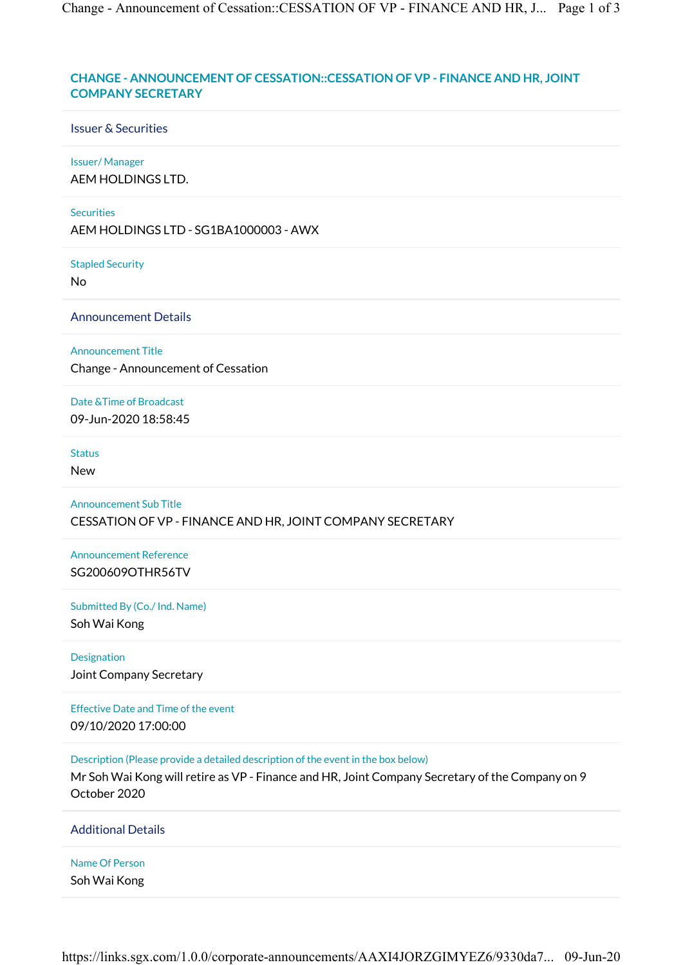# CHANGE - ANNOUNCEMENT OF CESSATION::CESSATION OF VP - FINANCE AND HR, JOINT COMPANY SECRETARY

#### Issuer & Securities

#### Issuer/ Manager

AEM HOLDINGS LTD.

#### **Securities**

AEM HOLDINGS LTD - SG1BA1000003 - AWX

#### Stapled Security

No

Announcement Details

Announcement Title

Change - Announcement of Cessation

Date &Time of Broadcast 09-Jun-2020 18:58:45

### **Status**

New

## Announcement Sub Title CESSATION OF VP - FINANCE AND HR, JOINT COMPANY SECRETARY

Announcement Reference SG200609OTHR56TV

Submitted By (Co./ Ind. Name)

Soh Wai Kong

Designation Joint Company Secretary

Effective Date and Time of the event 09/10/2020 17:00:00

Description (Please provide a detailed description of the event in the box below)

Mr Soh Wai Kong will retire as VP - Finance and HR, Joint Company Secretary of the Company on 9 October 2020

### Additional Details

## Name Of Person

Soh Wai Kong

https://links.sgx.com/1.0.0/corporate-announcements/AAXI4JORZGIMYEZ6/9330da7... 09-Jun-20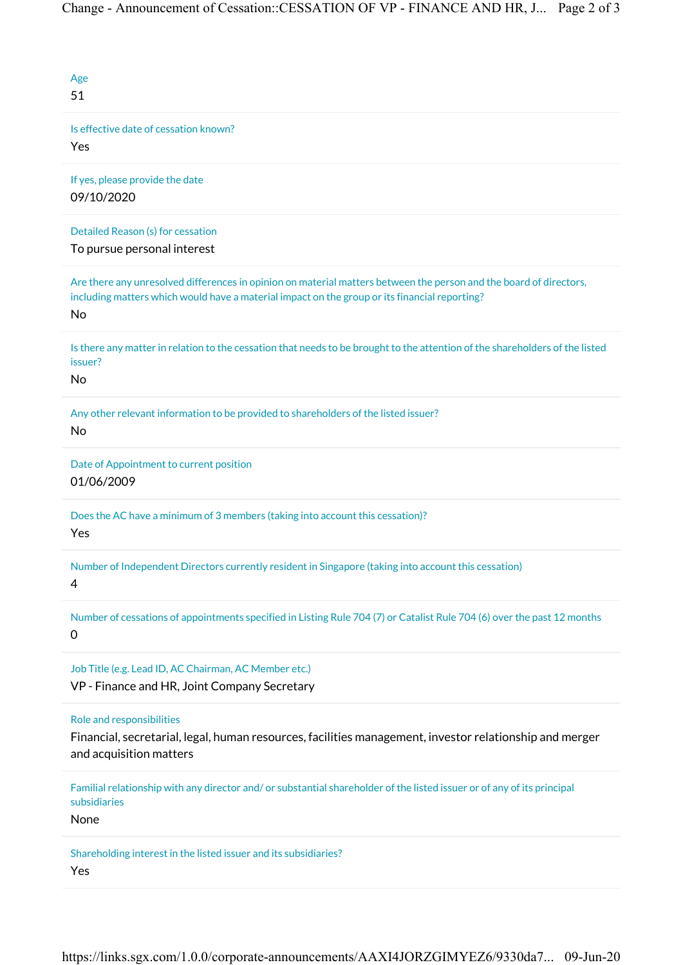| Age<br>51                                                                                                                                                                                                                 |
|---------------------------------------------------------------------------------------------------------------------------------------------------------------------------------------------------------------------------|
| Is effective date of cessation known?<br>Yes                                                                                                                                                                              |
| If yes, please provide the date<br>09/10/2020                                                                                                                                                                             |
| Detailed Reason (s) for cessation<br>To pursue personal interest                                                                                                                                                          |
| Are there any unresolved differences in opinion on material matters between the person and the board of directors,<br>including matters which would have a material impact on the group or its financial reporting?<br>No |
| Is there any matter in relation to the cessation that needs to be brought to the attention of the shareholders of the listed<br>issuer?<br>No                                                                             |
| Any other relevant information to be provided to shareholders of the listed issuer?<br>No                                                                                                                                 |
| Date of Appointment to current position<br>01/06/2009                                                                                                                                                                     |
| Does the AC have a minimum of 3 members (taking into account this cessation)?<br>Yes                                                                                                                                      |
| Number of Independent Directors currently resident in Singapore (taking into account this cessation)<br>4                                                                                                                 |
| Number of cessations of appointments specified in Listing Rule 704 (7) or Catalist Rule 704 (6) over the past 12 months<br>0                                                                                              |
| Job Title (e.g. Lead ID, AC Chairman, AC Member etc.)<br>VP - Finance and HR, Joint Company Secretary                                                                                                                     |
| Role and responsibilities<br>Financial, secretarial, legal, human resources, facilities management, investor relationship and merger<br>and acquisition matters                                                           |
| Familial relationship with any director and/or substantial shareholder of the listed issuer or of any of its principal<br>subsidiaries<br>None                                                                            |
| Shareholding interest in the listed issuer and its subsidiaries?<br>Yes                                                                                                                                                   |